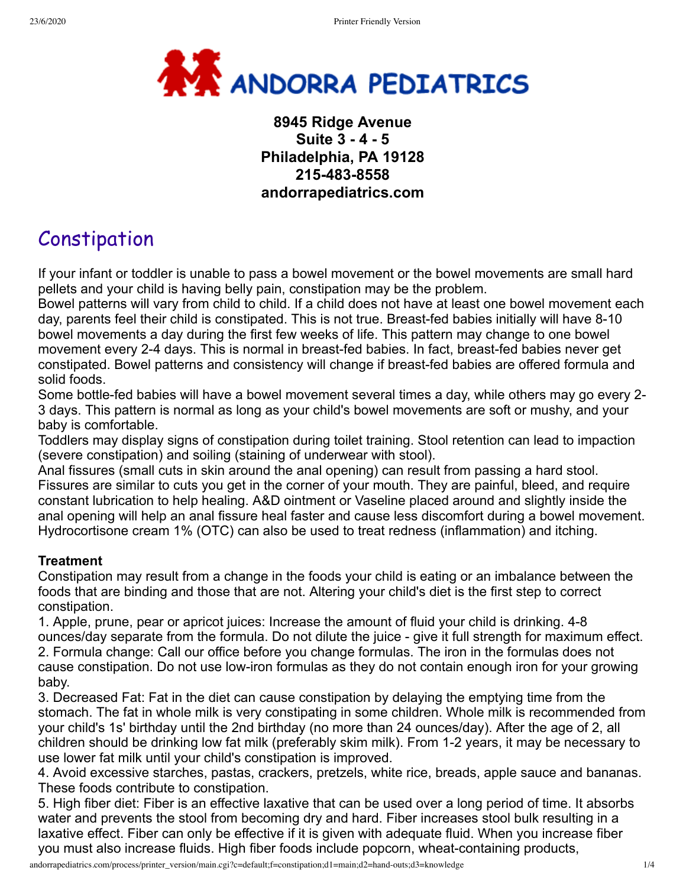

## **8945 Ridge Avenue Suite 3 - 4 - 5 Philadelphia, PA 19128 215-483-8558 andorrapediatrics.com**

# Constipation

If your infant or toddler is unable to pass a bowel movement or the bowel movements are small hard pellets and your child is having belly pain, constipation may be the problem.

Bowel patterns will vary from child to child. If a child does not have at least one bowel movement each day, parents feel their child is constipated. This is not true. Breast-fed babies initially will have 8-10 bowel movements a day during the first few weeks of life. This pattern may change to one bowel movement every 2-4 days. This is normal in breast-fed babies. In fact, breast-fed babies never get constipated. Bowel patterns and consistency will change if breast-fed babies are offered formula and solid foods.

Some bottle-fed babies will have a bowel movement several times a day, while others may go every 2- 3 days. This pattern is normal as long as your child's bowel movements are soft or mushy, and your baby is comfortable.

Toddlers may display signs of constipation during toilet training. Stool retention can lead to impaction (severe constipation) and soiling (staining of underwear with stool).

Anal fissures (small cuts in skin around the anal opening) can result from passing a hard stool. Fissures are similar to cuts you get in the corner of your mouth. They are painful, bleed, and require constant lubrication to help healing. A&D ointment or Vaseline placed around and slightly inside the anal opening will help an anal fissure heal faster and cause less discomfort during a bowel movement. Hydrocortisone cream 1% (OTC) can also be used to treat redness (inflammation) and itching.

#### **Treatment**

Constipation may result from a change in the foods your child is eating or an imbalance between the foods that are binding and those that are not. Altering your child's diet is the first step to correct constipation.

1. Apple, prune, pear or apricot juices: Increase the amount of fluid your child is drinking. 4-8 ounces/day separate from the formula. Do not dilute the juice - give it full strength for maximum effect. 2. Formula change: Call our office before you change formulas. The iron in the formulas does not cause constipation. Do not use low-iron formulas as they do not contain enough iron for your growing baby.

3. Decreased Fat: Fat in the diet can cause constipation by delaying the emptying time from the stomach. The fat in whole milk is very constipating in some children. Whole milk is recommended from your child's 1s' birthday until the 2nd birthday (no more than 24 ounces/day). After the age of 2, all children should be drinking low fat milk (preferably skim milk). From 1-2 years, it may be necessary to use lower fat milk until your child's constipation is improved.

4. Avoid excessive starches, pastas, crackers, pretzels, white rice, breads, apple sauce and bananas. These foods contribute to constipation.

5. High fiber diet: Fiber is an effective laxative that can be used over a long period of time. It absorbs water and prevents the stool from becoming dry and hard. Fiber increases stool bulk resulting in a laxative effect. Fiber can only be effective if it is given with adequate fluid. When you increase fiber you must also increase fluids. High fiber foods include popcorn, wheat-containing products,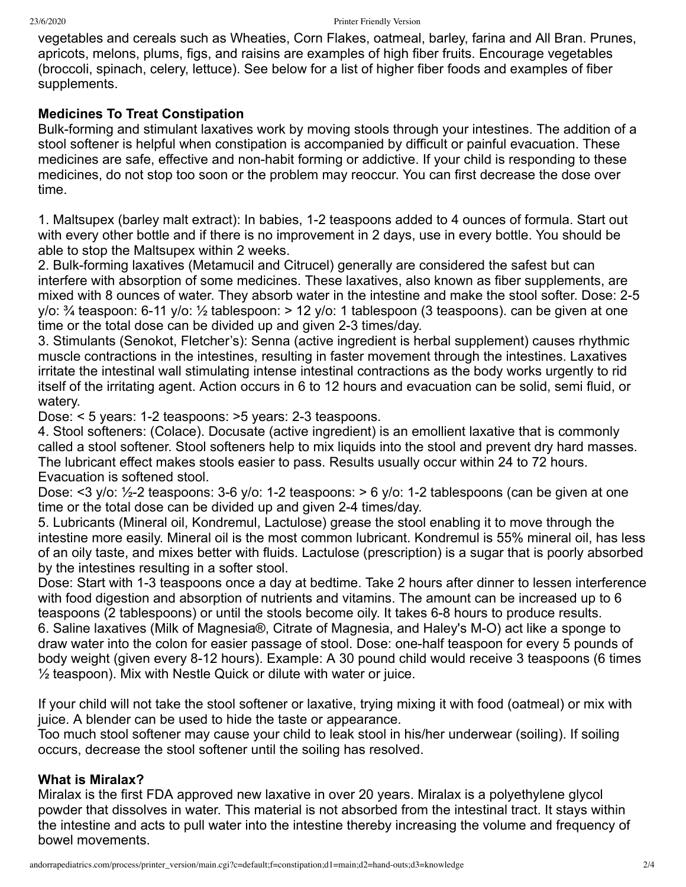vegetables and cereals such as Wheaties, Corn Flakes, oatmeal, barley, farina and All Bran. Prunes, apricots, melons, plums, figs, and raisins are examples of high fiber fruits. Encourage vegetables (broccoli, spinach, celery, lettuce). See below for a list of higher fiber foods and examples of fiber supplements.

#### **Medicines To Treat Constipation**

Bulk-forming and stimulant laxatives work by moving stools through your intestines. The addition of a stool softener is helpful when constipation is accompanied by difficult or painful evacuation. These medicines are safe, effective and non-habit forming or addictive. If your child is responding to these medicines, do not stop too soon or the problem may reoccur. You can first decrease the dose over time.

1. Maltsupex (barley malt extract): In babies, 1-2 teaspoons added to 4 ounces of formula. Start out with every other bottle and if there is no improvement in 2 days, use in every bottle. You should be able to stop the Maltsupex within 2 weeks.

2. Bulk-forming laxatives (Metamucil and Citrucel) generally are considered the safest but can interfere with absorption of some medicines. These laxatives, also known as fiber supplements, are mixed with 8 ounces of water. They absorb water in the intestine and make the stool softer. Dose: 2-5 y/o:  $\frac{3}{4}$  teaspoon: 6-11 y/o:  $\frac{1}{2}$  tablespoon: > 12 y/o: 1 tablespoon (3 teaspoons). can be given at one time or the total dose can be divided up and given 2-3 times/day.

3. Stimulants (Senokot, Fletcher's): Senna (active ingredient is herbal supplement) causes rhythmic muscle contractions in the intestines, resulting in faster movement through the intestines. Laxatives irritate the intestinal wall stimulating intense intestinal contractions as the body works urgently to rid itself of the irritating agent. Action occurs in 6 to 12 hours and evacuation can be solid, semi fluid, or watery.

Dose: < 5 years: 1-2 teaspoons: >5 years: 2-3 teaspoons.

4. Stool softeners: (Colace). Docusate (active ingredient) is an emollient laxative that is commonly called a stool softener. Stool softeners help to mix liquids into the stool and prevent dry hard masses. The lubricant effect makes stools easier to pass. Results usually occur within 24 to 72 hours. Evacuation is softened stool.

Dose: <3 y/o: ½-2 teaspoons: 3-6 y/o: 1-2 teaspoons: > 6 y/o: 1-2 tablespoons (can be given at one time or the total dose can be divided up and given 2-4 times/day.

5. Lubricants (Mineral oil, Kondremul, Lactulose) grease the stool enabling it to move through the intestine more easily. Mineral oil is the most common lubricant. Kondremul is 55% mineral oil, has less of an oily taste, and mixes better with fluids. Lactulose (prescription) is a sugar that is poorly absorbed by the intestines resulting in a softer stool.

Dose: Start with 1-3 teaspoons once a day at bedtime. Take 2 hours after dinner to lessen interference with food digestion and absorption of nutrients and vitamins. The amount can be increased up to 6 teaspoons (2 tablespoons) or until the stools become oily. It takes 6-8 hours to produce results. 6. Saline laxatives (Milk of Magnesia®, Citrate of Magnesia, and Haley's M-O) act like a sponge to draw water into the colon for easier passage of stool. Dose: one-half teaspoon for every 5 pounds of body weight (given every 8-12 hours). Example: A 30 pound child would receive 3 teaspoons (6 times ½ teaspoon). Mix with Nestle Quick or dilute with water or juice.

If your child will not take the stool softener or laxative, trying mixing it with food (oatmeal) or mix with juice. A blender can be used to hide the taste or appearance.

Too much stool softener may cause your child to leak stool in his/her underwear (soiling). If soiling occurs, decrease the stool softener until the soiling has resolved.

#### **What is Miralax?**

Miralax is the first FDA approved new laxative in over 20 years. Miralax is a polyethylene glycol powder that dissolves in water. This material is not absorbed from the intestinal tract. It stays within the intestine and acts to pull water into the intestine thereby increasing the volume and frequency of bowel movements.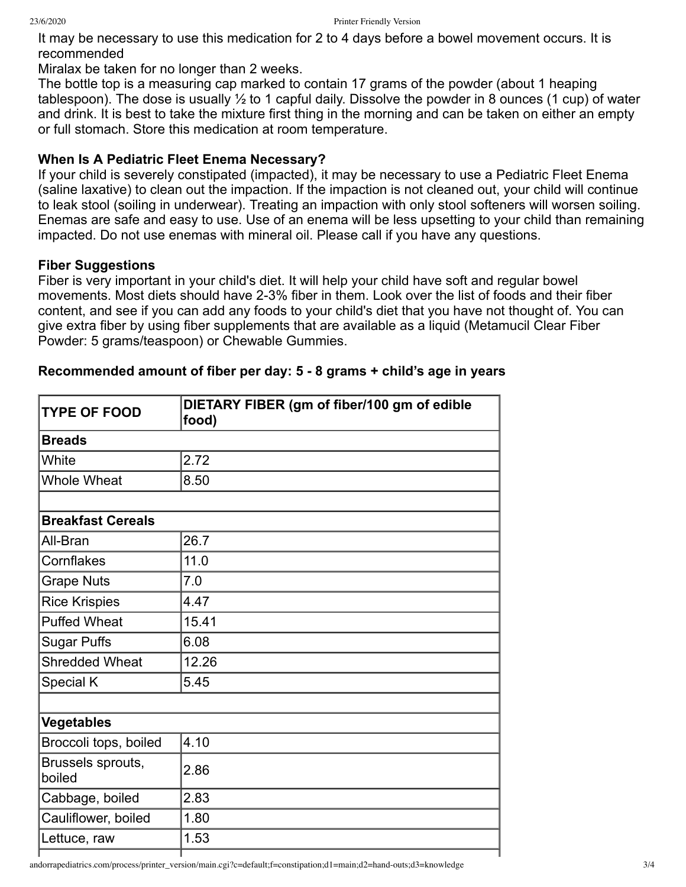It may be necessary to use this medication for 2 to 4 days before a bowel movement occurs. It is recommended

Miralax be taken for no longer than 2 weeks.

The bottle top is a measuring cap marked to contain 17 grams of the powder (about 1 heaping tablespoon). The dose is usually ½ to 1 capful daily. Dissolve the powder in 8 ounces (1 cup) of water and drink. It is best to take the mixture first thing in the morning and can be taken on either an empty or full stomach. Store this medication at room temperature.

## **When Is A Pediatric Fleet Enema Necessary?**

If your child is severely constipated (impacted), it may be necessary to use a Pediatric Fleet Enema (saline laxative) to clean out the impaction. If the impaction is not cleaned out, your child will continue to leak stool (soiling in underwear). Treating an impaction with only stool softeners will worsen soiling. Enemas are safe and easy to use. Use of an enema will be less upsetting to your child than remaining impacted. Do not use enemas with mineral oil. Please call if you have any questions.

## **Fiber Suggestions**

Fiber is very important in your child's diet. It will help your child have soft and regular bowel movements. Most diets should have 2-3% fiber in them. Look over the list of foods and their fiber content, and see if you can add any foods to your child's diet that you have not thought of. You can give extra fiber by using fiber supplements that are available as a liquid (Metamucil Clear Fiber Powder: 5 grams/teaspoon) or Chewable Gummies.

| <b>TYPE OF FOOD</b>         | DIETARY FIBER (gm of fiber/100 gm of edible<br>food) |
|-----------------------------|------------------------------------------------------|
| <b>Breads</b>               |                                                      |
| White                       | 2.72                                                 |
| <b>Whole Wheat</b>          | 8.50                                                 |
|                             |                                                      |
| <b>Breakfast Cereals</b>    |                                                      |
| All-Bran                    | 26.7                                                 |
| Cornflakes                  | 11.0                                                 |
| <b>Grape Nuts</b>           | 7.0                                                  |
| <b>Rice Krispies</b>        | 4.47                                                 |
| <b>Puffed Wheat</b>         | 15.41                                                |
| <b>Sugar Puffs</b>          | 6.08                                                 |
| <b>Shredded Wheat</b>       | 12.26                                                |
| <b>Special K</b>            | 5.45                                                 |
|                             |                                                      |
| <b>Vegetables</b>           |                                                      |
| Broccoli tops, boiled       | 4.10                                                 |
| Brussels sprouts,<br>boiled | 2.86                                                 |
| Cabbage, boiled             | 2.83                                                 |
| Cauliflower, boiled         | 1.80                                                 |
| Lettuce, raw                | 1.53                                                 |

### **Recommended amount of fiber per day: 5 - 8 grams + child's age in years**